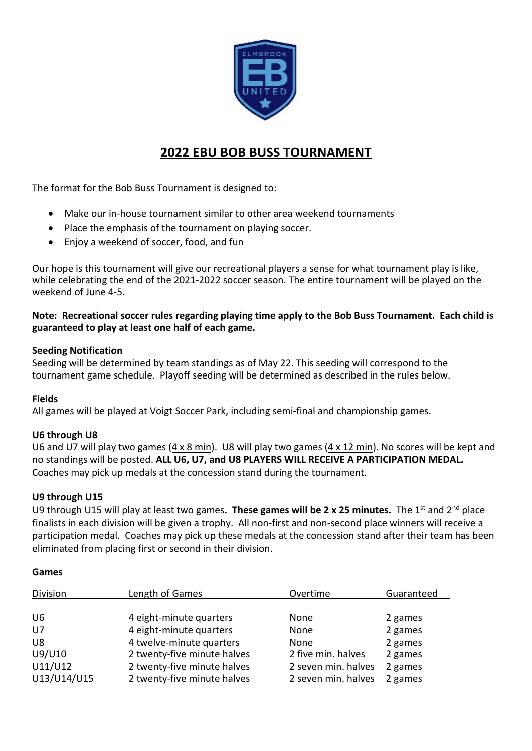

# **2022 EBU BOB BUSS TOURNAMENT**

The format for the Bob Buss Tournament is designed to:

- Make our in-house tournament similar to other area weekend tournaments
- Place the emphasis of the tournament on playing soccer.
- Enjoy a weekend of soccer, food, and fun

Our hope is this tournament will give our recreational players a sense for what tournament play is like, while celebrating the end of the 2021-2022 soccer season. The entire tournament will be played on the weekend of June 4-5.

**Note: Recreational soccer rules regarding playing time apply to the Bob Buss Tournament. Each child is guaranteed to play at least one half of each game.** 

## **Seeding Notification**

Seeding will be determined by team standings as of May 22. This seeding will correspond to the tournament game schedule. Playoff seeding will be determined as described in the rules below.

## **Fields**

All games will be played at Voigt Soccer Park, including semi-final and championship games.

## **U6 through U8**

U6 and U7 will play two games (4 x 8 min). U8 will play two games (4 x 12 min). No scores will be kept and no standings will be posted. **ALL U6, U7, and U8 PLAYERS WILL RECEIVE A PARTICIPATION MEDAL.**  Coaches may pick up medals at the concession stand during the tournament.

## **U9 through U15**

U9 through U15 will play at least two games**. These games will be 2 x 25 minutes.** The 1st and 2nd place finalists in each division will be given a trophy. All non-first and non-second place winners will receive a participation medal. Coaches may pick up these medals at the concession stand after their team has been eliminated from placing first or second in their division.

#### **Games**

| Division       | Length of Games             | Overtime            | Guaranteed |
|----------------|-----------------------------|---------------------|------------|
|                |                             |                     |            |
| U <sub>6</sub> | 4 eight-minute quarters     | None                | 2 games    |
| $U$ 7          | 4 eight-minute quarters     | None                | 2 games    |
| U8             | 4 twelve-minute quarters    | None                | 2 games    |
| U9/U10         | 2 twenty-five minute halves | 2 five min. halves  | 2 games    |
| U11/U12        | 2 twenty-five minute halves | 2 seven min. halves | 2 games    |
| U13/U14/U15    | 2 twenty-five minute halves | 2 seven min. halves | 2 games    |